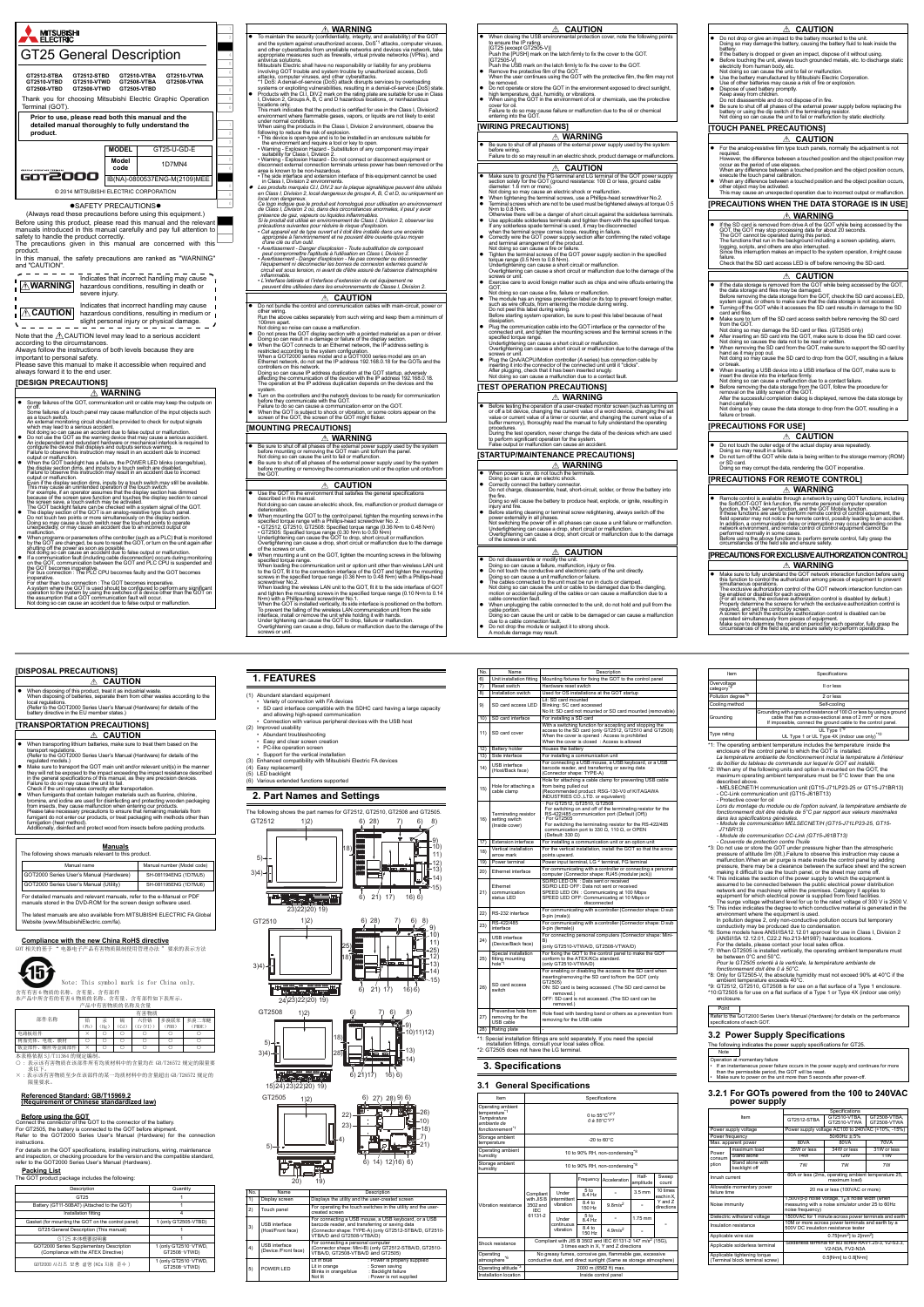

- cable connected to the unit, do not hold and pull from the
- cable portion. Doing so can cause the unit or cable to be damaged or can cause a malfunction due to a cable connection fault.
- 
- **CAUTION**
	- Do not disassemble or modify the unit.<br>
	Doing so can cause a failure, malfunction, injury or fire.<br>
	 Do not touch the conductive and electronic parts of the unit directly.<br>
	Doing so can cause a unit malfunction or fail
- Do not drop or give an impact to the battery mounted to the unit. Doing so may damage the battery, causing the battery fluid to leak inside the
- hattery.<br>If the battery is dropped or given an impact, dispose of it without using.<br>If the battery is dropped or given an impact, dispose of it without using.<br>Intervicity from human body, etc.<br>Not doing so can cause the un
- Use the battery manufactured by Mitsubishi Electric Corporation. Use of other batteries may cause a risk of fire or explosion.
	- Dispose of used battery promptly. Keep away from children.
	-
	- Do not disassemble and do not dispose of in fire.<br>● Be sure to shut off all phases of the external power supply before replacing the<br>battery or using the dip switch of the terminating resistor.<br>Not doing so can cause the

- For the analog-resistive film type touch panels, normally the adjustment is not
- 
- required. However, the difference between a touched position and the object position may occur as the period of use elapses. When any difference between a touched position and the object position occurs,
- execute the touch panel calibration.<br>• When any difference between a touched position and the object position occurs,<br>other object may be activated.<br>This may cause an unexpected operation due to incorrect output or malfunc

|           | To maintain the security (confidentiality, integrity, and availability) of the GOT and the system against unauthorized access, DoS <sup>*1</sup> attacks, computer viruses,                                                 | When closing the USB environmental protection cover, note the following points<br>to ensure the IP rating.                                                                               |
|-----------|-----------------------------------------------------------------------------------------------------------------------------------------------------------------------------------------------------------------------------|------------------------------------------------------------------------------------------------------------------------------------------------------------------------------------------|
|           | and other cyberattacks from unreliable networks and devices via network, take                                                                                                                                               | ic show to the compart of the later firmly to fix the cover to the GOT.<br>Push the [PUSH] mark on the latch firmly to fix the cover to the GOT.                                         |
|           | appropriate measures such as firewalls, virtual private networks (VPNs), and<br>antivirus solutions.                                                                                                                        | [GT2505-V]                                                                                                                                                                               |
|           | Mitsubishi Electric shall have no responsibility or liability for any problems<br>involving GOT trouble and system trouble by unauthorized access, DoS                                                                      | Push the USB mark on the latch firmly to fix the cover to the GOT.<br>Remove the protective film of the GOT.<br>٠                                                                        |
|           | attacks, computer viruses, and other cyberattacks.<br>1 DoS: A denial-of-service (DoS) attack disrupts services by overloading                                                                                              | When the user continues using the GOT with the protective film, the film may not<br>be removed.                                                                                          |
|           | systems or exploiting vulnerabilities, resulting in a denial-of-service (DoS) state.                                                                                                                                        | Do not operate or store the GOT in the environment exposed to direct sunlight,<br>high temperature, dust, humidity, or vibrations.                                                       |
|           | Products with the CI.I, DIV.2 mark on the rating plate are suitable for use in Class<br>I, Division 2, Groups A, B, C and D hazardous locations, or nonhazardous                                                            | When using the GOT in the environment of oil or chemicals, use the protective                                                                                                            |
|           | locations only.<br>This mark indicates that the product is certified for use in the Class I, Division2                                                                                                                      | cover for oil<br>Failure to do so may cause failure or malfunction due to the oil or chemical entering into the GOT.                                                                     |
|           | environment where flammable gases, vapors, or liquids are not likely to exist<br>under normal conditions.                                                                                                                   |                                                                                                                                                                                          |
|           | when using the products in the Class I, Division 2 environment, observe the following to reduce the risk of explosion.                                                                                                      | [WIRING PRECAUTIONS]                                                                                                                                                                     |
|           | · This device is open-type and is to be installed in an enclosure suitable for                                                                                                                                              | $\mathbb A$ warning                                                                                                                                                                      |
|           | the environment and require a tool or key to open.<br>. Warning - Explosion Hazard - Substitution of any component may impair                                                                                               | Be sure to shut off all phases of the external power supply used by the system<br>before wiring.                                                                                         |
|           | suitability for Class I, Division 2.<br>. Varning - Explosion Hazard - Do not connect or disconnect equipment or<br>disconnect external connection terminals unless power has been removed or the                           | Failure to do so may result in an electric shock, product damage or malfunctions                                                                                                         |
|           | area is known to be non-hazardous.                                                                                                                                                                                          | ⚠<br><b>CAUTION</b>                                                                                                                                                                      |
|           | The side interface and extension interface of this equipment cannot be used<br>in Class I, Division 2 environments.                                                                                                         | Make sure to ground the FG terminal and LG terminal of the GOT power supply section solely for the GOT (ground resistance: 100 $\Omega$ or less, ground cable<br>$\bullet$               |
|           | Les produits marqués CI.I, DIV.2 sur la plaque signalétique peuvent être utilisés<br>en Class I, Division 2, local dangereux de groupe A, B, C et D, ou uniquement en                                                       | diameter: 1.6 mm or more).<br>Not doing so may cause an electric shock or malfunction.                                                                                                   |
|           | local non dangereux.                                                                                                                                                                                                        | When tightening the terminal screws, use a Phillips-head screwdriver No.2.                                                                                                               |
|           | Ce logo indique que le produit est homologué pour utilisation en environnement<br>de Class I, Division 2 où, dans des circonstances anormales, il peut y avoir                                                              | $\bullet$<br>Terminal screws which are not to be used must be tightened always at torque 0.5<br>N.m to 0.8 N.m.                                                                          |
|           | présence de gaz, vapeurs ou liquides inflammables.<br>Si le produit est utilisé en environnement de Class I, Division 2, observer les                                                                                       | Otherwise there will be a danger of short circuit against the solderless terminals.<br>Use applicable solderless terminals and tighten them with the specified torque.                   |
|           | précautions suivantes pour réduire le risque d'explosion.                                                                                                                                                                   | If any solderless spade terminal is used, it may be disconnected                                                                                                                         |
|           | Cet appareil est de type ouvert et il doit être installé dans une enceinte<br>appropriée à l'environnement et ne pouvant être ouverte qu'au moyen                                                                           | when the terminal screw comes loose, resulting in failure.<br>Correctly wire the GOT power supply section after confirming the rated voltage                                             |
|           | d'une clé ou d'un outil.                                                                                                                                                                                                    | and terminal arrangement of the product.<br>Not doing so can cause a fire or failure.                                                                                                    |
|           | d une cie co qui romane d'explosion - Toute substitution de composant<br>peut compromettre l'aptitude à l'utilisation en Class I, Division 2.<br>• Avertissement - Danger d'explosion - Ne pas connecter ou déconnecter.    | Tighten the terminal screws of the GOT power supply section in the specified                                                                                                             |
|           | l'équipement ni déconnecter les bornes de connexion externes quand le                                                                                                                                                       | torque range (0.5 N.m to 0.8 N.m).<br>Undertightening can cause a short circuit or malfunction.                                                                                          |
|           | circuit est sous tension, ni avant de d'être assuré de l'absence d'atmosphère<br>inflammable.                                                                                                                               | Overtightening can cause a short circuit or malfunction due to the damage of the<br>screws or unit.                                                                                      |
|           | · L'interface latérale et l'interface d'extension de cet équipement ne<br>peuvent être utilisées dans les environnements de Classe I, Division 2.                                                                           | $\bullet$<br>Exercise care to avoid foreign matter such as chips and wire offcuts entering the<br>GOT.                                                                                   |
|           | ∧                                                                                                                                                                                                                           | Not doing so can cause a fire, failure or malfunction.                                                                                                                                   |
| $\bullet$ | <b>CAUTION</b><br>Do not bundle the control and communication cables with main-circuit, power or                                                                                                                            | The module has an ingress prevention label on its top to prevent foreign matter,<br>such as wire offcuts, from entering the module during wiring.                                        |
|           | other wiring.<br>Run the above cables separately from such wiring and keep them a minimum of                                                                                                                                | Do not peel this label during wiring.<br>Before starting system operation, be sure to peel this label because of heat                                                                    |
|           | 100mm apart.                                                                                                                                                                                                                | dissipation.<br>Plug the communication cable into the GOT interface or the connector of the<br>$\bullet$                                                                                 |
|           | Not doing so noise can cause a malfunction.<br>Do not press the GOT display section with a pointed material as a pen or driver.                                                                                             | connected unit, and tighten the mounting screws and the terminal screws in the                                                                                                           |
|           | Doing so can result in a damage or failure of the display section.<br>When the GOT connects to an Ethernet network, the IP address setting is                                                                               | specified torque range.<br>Undertightening can cause a short circuit or malfunction.                                                                                                     |
|           | restricted according to the system configuration."<br>When a GOT2000 series model and a GOT1000 series model are on an<br>Ethernet network, do not set the IP address 192.168.0.16 for the GOTs and the                     | Overtightening can cause a short circuit or malfunction due to the damage of the<br>screws or unit.                                                                                      |
|           |                                                                                                                                                                                                                             | Plug the QnA/ACPU/Motion controller (A series) bus connection cable by<br>inserting it into the connector of the connected unit until it "clicks".                                       |
|           | controllers on this network.<br>Doing so can cause IP address duplication at the GOT startup, adversely<br>affecting the communication of the device with the IP address 192.168.0.18.                                      | After plugging, check that it has been inserted snugly.<br>Not doing so can cause a malfunction due to a contact fault.                                                                  |
|           |                                                                                                                                                                                                                             |                                                                                                                                                                                          |
|           |                                                                                                                                                                                                                             |                                                                                                                                                                                          |
|           | The operation at the IP address duplication depends on the devices and the<br>svstem.                                                                                                                                       | [TEST OPERATION PRECAUTIONS]                                                                                                                                                             |
|           | Turn on the controllers and the network devices to be ready for communication before they communicate with the GOT.                                                                                                         | $\mathbb A$ warning                                                                                                                                                                      |
|           | Failure to do so can cause a communication error on the GOT.<br>When the GOT is subject to shock or vibration, or some colors appear on the                                                                                 | Before testing the operation of a user-created monitor screen (such as turning on<br>or off a bit device, changing the current value of a word device, changing the set                  |
|           | screen of the GOT, the screen of the GOT might flicker.                                                                                                                                                                     | value or current value of a timer or counter, and changing the current value of a<br>buffer memory), thoroughly read the manual to fully understand the operating                        |
|           | [MOUNTING PRECAUTIONS]                                                                                                                                                                                                      | procedures.                                                                                                                                                                              |
| $\bullet$ | <b>WARNING</b>                                                                                                                                                                                                              |                                                                                                                                                                                          |
|           | Be sure to shut off all phases of the external power supply used by the system<br>before mounting or removing the GOT main unit to/from the panel.                                                                          | During the test operation, never change the data of the devices which are used<br>to perform significant operation for the system.<br>False output or malfunction can cause an accident. |
|           | Not doing so can cause the unit to fail or malfunction.                                                                                                                                                                     | [STARTUP/MAINTENANCE PRECAUTIONS]                                                                                                                                                        |
|           | Be sure to shut off all phases of the external power supply used by the system<br>before mounting or removing the communication unit or the option unit onto/from<br>the GOT.                                               | ∆ Warning<br>When power is on, do not touch the terminals.                                                                                                                               |
|           | <b>CAUTION</b><br>⚠                                                                                                                                                                                                         | Doing so can cause an electric shock.<br>Correctly connect the battery connector.                                                                                                        |
|           | Use the GOT in the environment that satisfies the general specifications                                                                                                                                                    | Do not charge, disassemble, heat, short-circuit, solder, or throw the battery into<br>the fire.                                                                                          |
|           | described in this manual.<br>Not doing so can cause an electric shock, fire, malfunction or product damage or                                                                                                               |                                                                                                                                                                                          |
|           | deterioration.                                                                                                                                                                                                              | Doing so will cause the battery to produce heat, explode, or ignite, resulting in injury and fire.<br>Before starting cleaning or terminal screw retightening, always switch off the     |
|           |                                                                                                                                                                                                                             | power externally in all phases.<br>Not switching the power off in all phases can cause a unit failure or malfunction.                                                                    |
|           | When mounting the GOT to the control panel, tighten the mounting screws in the<br>specified torque range with a Phillips-head screwdriver No. 2.<br>• GT2512, GT2510, GT2508: Specified torque range (0.36 N m to 0.48 N m) |                                                                                                                                                                                          |
|           | . CT2505: Specified torque range (0.30 N m to 0.50 N m)<br>Undertightening can cause the GOT to drop, short circuit or malfunction.<br>Overtightening can cause a drop, short circuit or malfunction due to the damage      | Undertightening can cause a drop, short circuit or malfunction.<br>Overtightening can cause a drop, short circuit or malfunction.<br>of the screws or unit.                              |

- If the data storage is removed from the GOT while being accessed by the GOT the data storage and files may be damaged.<br>Before removing the data storage from the GOT, check the SD card access LED,<br>system signal, or others to make sure that the data storage is not accessed.<br>● Turning off the GOT wh
- 
- card and files.<br>
Card access switch before removing the SD card<br>
from the GOT.<br>
Mote sure to turn off the SD card or files. (GT2505 only)<br>
Not doing so may damage the SD card or files. (GT2505 only)<br>
Phene inserting an SD
- 
- When removing the SD card from the GOT, make sure to support the SD card by hand as it may pop out. Not doing so may cause the SD card to drop from the GOT, resulting in a failure or break. When inserting a USB device into a USB interface of the GOT, make sure to
- insert the device into the interface firmly. Not doing so can cause a malfunction due to a contact failure.
- Before removing the data storage from the GOT, follow the procedure for removal on the utility screen of the GOT. After the successful completion dialog is displayed, remove the data storage by
- hand carefully. Not doing so may cause the data storage to drop from the GOT, resulting in a failure or break.



- Make sure to fully understand the GOT network interaction function before using this function to control the authorization among pieces of equipment to prevent **WARNING**
- 
- 
- simultaneous operations,<br>The exclusive authorization control of the GOT network interaction function can<br>be enabled or disabled for each screen. The constrained for the exclusive authorization control is disabled by defaul
- 
- 
- 
- Item Specification Overvoltage category\*4 II or less Pollution degree<sup>\*5</sup> 2 or less Cooling method self-cooling unding Grounding with a ground resistance of 100 Ω or less by using a ground cable that has a cross-sectional area of 2 mm2 or more. If impossible, connect the ground cable to the control panel. Type rating UL Type 1<sup>\*9</sup><br>UL Type 1 or UL Type 4X (indoor use only)<sup>\*10</sup>
- \*1: The operating ambient temperature includes the temperature inside the enclosure of the control panel to which the GOT is installed.<br>La température ambiante de fonctionnement inclut la température à l'intérieur<br>du boitier du tableau de commande sur lequel le GOT est installé.<br>"2: When any of
- described above.
- MELSECNET/H communication unit (GT15-J71LP23-25 or GT15-J71BR13)<br>- CC-Link communication unit (GT15-J61BT13)<br>- Protective cover for oil<br>*Lors du montage du module ou de l'option suivant, la température ambiante de*
- *fonctionnement doit être réduite de 5°C par rapport aux valeurs maximales dans les spécifications générales. - Module de communication MELSECNET/H (GT15-J71LP23-25, GT15-*
- *J71BR13) Module de communication CC-Link (GT15-J61BT13)*
- 
- Couvercle de protection contre l'huile<br>
 Couvercle de protection contreller contreller contrassure in pressure in<br>
Pressure in this curve of statistic pressure in the atmospheric<br>
pressure of altitude 0m (0ft.).Failure
- 
- In pollution degree 2, only non-conductive pollution occurs but temporary<br>conductivity may be produced due to condensation.<br>The Some models have ANSI/ISA12.12.01 approval for use in Class I, Division 2<br>(ANSI/ISA 12.12.01,
- 
- 
- be between 0°C and 50°C.<br>Pour le GT2505 orienté à la verticale, la température ambiante de<br>fonctionnement doit étre 0 à 50°C.<br>\*8: Only for GT2505-V, the absolute humidity must not exceed 90% at 40°C if the<br>ambient temperat

**WARNING**

- **WARNING**
- 
- 
- If the SD card is removed from drive A of the GOT while being accessed by the GOT card signation processing data for about 20 seconds. The GOT cannot be operated during this period.<br>The GOT cannot be operated during this re.<br>vok that the SD card access LED is off before removing the SD card.

# **EXAMPLE 2**

- 本表格依据 SJ/T11364 的规定编制。<br>〇 : 表示该有害物质在该部件所有均质材料中的含量均在 GB/T26572 规定的限量要 求以下。 × : 表示该有害物质至少在该部件的某一均质材料中的含量超出 GB/T26572 规定的
- 限量要求。
- When transporting lithium batteries, make sure to treat them based on the **CAUTION**
- transport regulations. (Refer to the GOT2000 Series User's Manual (Hardware) for details of the regulated models.) Make sure to transport the GOT main unit and/or relevant unit(s) in the manner they will not be exposed to the impact exceeding the impact resistance described
- in the general specifications of this manual, as they are precision devices.<br>Failure to do so may cause the unit to fail.<br>Check if the unit operates correctly after transportation.
- When furnigants that contain halogen materials such as fluorine, chlorine, contained bromine, and iodine are used for disinfecting and protecting wooden packaging from insects, they cause malfunction when entering our pr

| T main unit to/from the panel.<br>il or malfunction.                                                                                                                                                                                                                                                                                                    | <b>ISTARTUP/MAINTENANCE PRECAUTIONS]</b>                                                                                                                                                                                                                                                                                                                                                                                                                                                                                                                                                                                                                                                                                                  |
|---------------------------------------------------------------------------------------------------------------------------------------------------------------------------------------------------------------------------------------------------------------------------------------------------------------------------------------------------------|-------------------------------------------------------------------------------------------------------------------------------------------------------------------------------------------------------------------------------------------------------------------------------------------------------------------------------------------------------------------------------------------------------------------------------------------------------------------------------------------------------------------------------------------------------------------------------------------------------------------------------------------------------------------------------------------------------------------------------------------|
| external power supply used by the system<br>nmunication unit or the option unit onto/from                                                                                                                                                                                                                                                               | $\triangle$ Warning                                                                                                                                                                                                                                                                                                                                                                                                                                                                                                                                                                                                                                                                                                                       |
| AUTION<br>t satisfies the general specifications<br>hock, fire, malfunction or product damage or<br>rol panel, tighten the mounting screws in the<br>-head screwdriver No. 2.<br>ed torque range (0.36 N•m to 0.48 N•m)<br>.30 N•m to 0.50 N•m)<br>to drop, short circuit or malfunction.<br>ort circuit or malfunction due to the damage               | When power is on, do not touch the terminals.<br>Doing so can cause an electric shock.<br>Correctly connect the battery connector.<br>Do not charge, disassemble, heat, short-circuit, solder, or throw the battery into<br>the fire.<br>Doing so will cause the battery to produce heat, explode, or ignite, resulting in<br>injury and fire.<br>Before starting cleaning or terminal screw retightening, always switch off the<br>power externally in all phases.<br>Not switching the power off in all phases can cause a unit failure or malfunction.<br>Undertightening can cause a drop, short circuit or malfunction.<br>Overtightening can cause a drop, short circuit or malfunction due to the damage<br>of the screws or unit. |
| ighten the mounting screws in the following                                                                                                                                                                                                                                                                                                             | $\triangle$ CAUTION                                                                                                                                                                                                                                                                                                                                                                                                                                                                                                                                                                                                                                                                                                                       |
| it or option unit other than wireless LAN unit<br>erface of the GOT and tighten the mounting<br>(0.36 N.m to 0.48 N.m) with a Phillips-head<br>to the GOT, fit it to the side interface of GOT<br>he specified torque range (0.10 N•m to 0.14<br>r No. 1.<br>its side interface is positioned on the bottom.<br>t Abt communication unit from the cide. | Do not disassemble or modify the unit.<br>٠<br>Doing so can cause a failure, malfunction, injury or fire.<br>Do not touch the conductive and electronic parts of the unit directly.<br>Doing so can cause a unit malfunction or failure.<br>The cables connected to the unit must be run in ducts or clamped.<br>Not doing so can cause the unit or cable to be damaged due to the dangling.<br>motion or accidental pulling of the cables or can cause a malfunction due to a<br>cable connection fault.<br>When unplugging the cable connected to the unit, do not hold and pull from the                                                                                                                                               |

**CAUTION**

### **[PRECAUTIONS WHEN THE DATA STORAGE IS IN USE]**

#### **[PRECAUTIONS FOR USE]**

# **[PRECAUTIONS FOR EXCLUSIVE AUTHORIZATION CONTROL]**

Point Refer to the GOT2000 Series User's Manual (Hardware) for details on the performance pecifications of each GOT.

#### **[TOUCH PANEL PRECAUTIONS] CAUTION**

- **CAUTION**
- Do not touch the outer edge of the actual display area repeatedly.
- Doing so may result in a failure.<br>● Do not turn off the GOT while data is being written to the storage memory (ROM)<br>or SD card. Doing so may corrupt the data, rendering the GOT inoperative.
- **[PRECAUTIONS FOR REMOTE CONTROL]**

### **CAUTION**

# **WARNING**

- Remote control is available through a network by using GOT functions, including<br>the SoftGOT-GOT link function, the remote personal computer operation<br>function, the WNC server function, and the GOT Mobile function.<br>first
	-

#### **[DISPOSAL PRECAUTIONS]**

### **[TRANSPORTATION PRECAUTIONS]**

# **Compliance with the new China RoHS directive** GOT 相关的基于 " 电器电子产品有害物质限制使用管理办法 " 要求的表示方法

45}

# 含有有害 6 物质的名称、含有量、含有部件 本产品中所含有的有害 6 物质的名称、含有量、含有部件如下表所示。 产品中有害物质的名称及含量

# **Referenced Standard: GB/T15969.2 (Requirement of Chinese standardized law)**

**Before using the GOT** Connect the connector of the GOT to the connector of the battery. For GT2505, the battery is connected to the GOT before shipment. Refer to the GOT2000 Series User's Manual (Hardware) for the connection instructions.

For details on the GOT specifications, installing instructions, wiring, maintenance and inspection, or checking procedure for the version and the compatible standard, refer to the GOT2000 Series User's Manual (Hardware).

**Packing List** The GOT product package includes the following:

| <b>Manuals</b><br>The following shows manuals relevant to this product.                                                                       |                            |  |  |  |
|-----------------------------------------------------------------------------------------------------------------------------------------------|----------------------------|--|--|--|
| Manual name                                                                                                                                   | Manual number (Model code) |  |  |  |
| GOT2000 Series User's Manual (Hardware)                                                                                                       | SH-081194ENG (1D7MJ5)      |  |  |  |
| GOT2000 Series User's Manual (Utility)                                                                                                        | SH-081195ENG (1D7MJ6)      |  |  |  |
| For detailed manuals and relevant manuals, refer to the e-Manual or PDF<br>manuals stored in the DVD-ROM for the screen design software used. |                            |  |  |  |
| The latest manuals are also available from MITSUBISHI ELECTRIC FA Global<br>Website (www.MitsubishiElectric.com/fa).                          |                            |  |  |  |

| No.  | Name                                                           | Description                                                                                                                                                                                                                                                                                                     |
|------|----------------------------------------------------------------|-----------------------------------------------------------------------------------------------------------------------------------------------------------------------------------------------------------------------------------------------------------------------------------------------------------------|
| 6)   | Unit installation fitting                                      | Mounting fixtures for fixing the GOT to the control panel                                                                                                                                                                                                                                                       |
| 7)   | Reset switch                                                   | Hardware reset switch                                                                                                                                                                                                                                                                                           |
| 8)   | Installation switch                                            | Used for OS installations at the GOT startup                                                                                                                                                                                                                                                                    |
| 9)   | SD card access LED                                             | Lit: SD card mounted<br>Blinking: SC card accessed<br>No lit: SD card not mounted or SD card mounted (removable)                                                                                                                                                                                                |
| 10)  | SD card interface                                              | For installing a SD card                                                                                                                                                                                                                                                                                        |
| 11)  | SD card cover                                                  | With a switching function for accepting and stopping the<br>access to the SD card (only GT2512, GT2510 and GT2508)<br>When the cover is opened : Access is prohibited<br>When the cover is closed : Access is allowed                                                                                           |
| 12)  | <b>Battery holder</b>                                          | Houses the battery                                                                                                                                                                                                                                                                                              |
| 13)  | Side interface                                                 | For installing a communication unit                                                                                                                                                                                                                                                                             |
| (14) | USB interface<br>(Host/Back face)                              | For connecting a USB mouse, a USB keyboard, or a USB<br>barcode reader, and transferring or saving data<br>(Connector shape: TYPE-A)                                                                                                                                                                            |
| 15)  | Hole for attaching a<br>cable clamp                            | Hole for attaching a cable clamp for preventing USB cable<br>from being pulled out<br>(Recommended product: RSG-130-V0 of KITAGAWA<br>INDUSTRIES CO., LTD. or equivalent)                                                                                                                                       |
| 16)  | Terminating resistor<br>setting switch<br>(Inside cover)       | · For GT2512, GT2510, GT2508<br>For switching on and off of the terminating resistor for the<br>RS-422/485 communication port (Default (Off))<br>$·$ For GT2505<br>For switching the terminating resistor for the RS-422/485<br>communication port to 330 $\Omega$ , 110 $\Omega$ , or OPEN<br>(Default: 330 Ω) |
| 17)  | <b>Extension interface</b>                                     | For installing a communication unit or an option unit                                                                                                                                                                                                                                                           |
| 18)  | Vertical installation<br>arrow mark                            | For the vertical installation, install the GOT so that the arrow<br>points upward.                                                                                                                                                                                                                              |
| 19)  | Power terminal                                                 | Power input terminal, LG <sup>*2</sup> terminal, FG terminal                                                                                                                                                                                                                                                    |
| 20)  | Ethernet interface                                             | For communicating with a controller or connecting a personal<br>computer (Connector shape: RJ45 (modular jack))                                                                                                                                                                                                 |
| 21)  | Ethernet<br>communication<br>status LED                        | SD/RD I FD ON : Data sent or received<br>SD/RD LED OFF: Data not sent or received<br>SPEED LED ON : Communicating at 100 Mbps<br>SPEED LED OFF: Communicating at 10 Mbps or<br>disconnected                                                                                                                     |
| 22)  | RS-232 interface                                               | For communicating with a controller (Connector shape: D sub<br>9-pin (male))                                                                                                                                                                                                                                    |
| 23)  | RS-422/485<br>interface                                        | For communicating with a controller (Connector shape: D sub<br>9-pin (female))                                                                                                                                                                                                                                  |
| 24)  | USB interface<br>(Device/Back face)                            | For connecting personal computers (Connector shape: Mini-<br>B)<br>(only GT2510-VTWA/D, GT2508-VTWA/D)                                                                                                                                                                                                          |
| 25)  | Special installation<br>fitting mounting<br>hole <sup>x1</sup> | For fixing the GOT to the control panel to make the GOT<br>conform to the ATEX/KCs standard.<br>(only GT2510-VTWA/D)                                                                                                                                                                                            |
|      |                                                                | For enabling or disabling the access to the SD card when<br>inserting/removing the SD card to/from the GOT (only                                                                                                                                                                                                |

| $\triangle$ CAUTION                                                                                 |
|-----------------------------------------------------------------------------------------------------|
| When disposing of this product, treat it as industrial waste.                                       |
| When disposing of batteries, separate them from other wastes according to the<br>local regulations. |
| (Refer to the GOT2000 Series User's Manual (Hardware) for details of the                            |
| battery directive in the EU member states.)                                                         |



|              | 有害物质         |     |     |        |       |        |
|--------------|--------------|-----|-----|--------|-------|--------|
| 部件名称         | 铅            | 汞   | 镉   | 六价铬    | 多溴联苯  | 多溴二苯醚  |
|              | Ph           | Hg. | Cd. | Cr(VI) | (PBB) | (PBDE) |
| 电路板组件        |              |     |     |        |       |        |
| 树脂壳体、电缆、膜材   |              |     |     |        |       |        |
| 钣金部件、螺丝等金属部件 | $\checkmark$ |     |     |        |       |        |

| Description                                                                      | Quantity                             |
|----------------------------------------------------------------------------------|--------------------------------------|
| GT <sub>25</sub>                                                                 |                                      |
| Battery (GT11-50BAT) (Attached to the GOT)                                       |                                      |
| Installation fitting                                                             |                                      |
| Gasket (for mounting the GOT on the control panel)                               | 1 (only GT2505-VTBD)                 |
| GT25 General Description (This manual)                                           |                                      |
| GT25 本体概要説明書                                                                     |                                      |
| GOT2000 Series Supplementary Description<br>(Compliance with the ATEX Directive) | 1 (only GT2510-VTWD,<br>GT2508-VTWD) |
| GOT2000 시리즈 보충 설명 (KCs 지침 준수 )                                                   | 1 (only GT2510-VTWD,<br>GT2508-VTWD) |

- 
- 
- 
- 
- -
	-
	-
- - **1. FEATURES**

- (1) Abundant standard equipment<br>• Variety of connection with FA devices<br>• SD card interface compatible with the SDHC card having a large capacity<br>• and allowing high-speed communication<br>• Connection with various peripheral
	-
- (2) Improved usability Abundant troubleshooting Easy and clear screen creation PC-like operation screen Support for the vertical installation
- Support for the vertical installation<br>Enhanced compatibility with Mitsubishi Electric FA devices
- 
- 

 $3)4$ 

(4) Easy replacement] (5) LED backlight (6) Various extended functions supported

# **2. Part Names and Settings**

| No.            | Name                                         | Description                                                                                                                                                                                    |  |  |
|----------------|----------------------------------------------|------------------------------------------------------------------------------------------------------------------------------------------------------------------------------------------------|--|--|
| $\overline{1}$ | Display screen                               | Displays the utility and the user-created screen                                                                                                                                               |  |  |
| 2)             | Touch panel                                  | For operating the touch switches in the utility and the user-<br>created screen                                                                                                                |  |  |
| 3)             | <b>USB</b> interface<br>(Host/Front face)    | For connecting a USB mouse, a USB keyboard, or a USB<br>barcode reader, and transferring or saving data<br>(Connector shape: TYPE-A) (only GT2512-STBA/D, GT2510-<br>VTBA/D and GT2508-VTBA/D) |  |  |
| 4)             | <b>USB</b> interface<br>(Device /Front face) | For connecting a personal computer<br>(Connector shape: Mini-B) (only GT2512-STBA/D, GT2510-<br>VTBA/D. GT2508-VTBA/D and GT2505)                                                              |  |  |
| 5)             | POWER I FD                                   | I it in blue<br>: Power is properly supplied<br>: Screen saving<br>Lit in orange<br>Blinks in orange/blue<br>: Backlight failure<br>: Power is not supplied<br>Not lit                         |  |  |





|                                                                                                   | 14) | <b>USB</b> interface<br>(Host/Back face)                       | ror connecunq<br>barcode reade<br>(Connector sha                                                                         |
|---------------------------------------------------------------------------------------------------|-----|----------------------------------------------------------------|--------------------------------------------------------------------------------------------------------------------------|
| ed<br>Settings                                                                                    | 15) | Hole for attaching a<br>cable clamp                            | Hole for attach<br>from being pull<br>(Recommende<br><b>INDUSTRIES</b>                                                   |
| GT2512, GT2510, GT2508 and GT2505.<br>28)<br>8)<br>6)<br>6<br><b>THE REAL PROPERTY AND I</b><br>ŵ | 16) | Terminating resistor<br>setting switch<br>(Inside cover)       | $·$ For GT2512.<br>For switching<br>RS-422/485 c<br>$\cdot$ For GT2505<br>For switching<br>communicatio<br>(Default: 330 |
| 9)                                                                                                | 17) | <b>Extension interface</b>                                     | For installing a                                                                                                         |
| 10)<br>18)<br>11)                                                                                 | 18) | Vertical installation<br>arrow mark                            | For the vertical<br>points upward.                                                                                       |
| mall<br>2                                                                                         | 19) | Power terminal                                                 | Power input ter                                                                                                          |
| WWW<br>ara<br>HIIII                                                                               | 20) | Ethernet interface                                             | For communica<br>computer (Con                                                                                           |
| 14)<br>15)<br>$\mathbb{Q}$<br>6)<br>21)<br>16) 6)<br>17)                                          | 21) | Ethernet<br>communication<br>status I FD                       | SD/RD LED OI<br>SD/RD LED OI<br>SPEED LED Q<br>SPEED LED O                                                               |
|                                                                                                   | 22) | RS-232 interface                                               | For communica<br>9-pin (male))                                                                                           |
| $6)$ 28)<br>71<br>8<br>հ<br>9)<br>ŵ                                                               | 23) | RS-422/485<br>interface                                        | For communica<br>9-pin (female))                                                                                         |
| 0)<br><b>MINIMUMINA</b><br>11)<br>25)<br>$-25)$                                                   | 24) | <b>USB</b> interface<br>(Device/Back face)                     | For connecting<br>B)<br>(only GT2510-                                                                                    |
| 2)<br>18)<br>ШШ<br>അതത<br>IIIII                                                                   | 25) | Special installation<br>fitting mounting<br>hole <sup>*1</sup> | For fixing the G<br>conform to the<br>(only GT2510-1                                                                     |
| 14)                                                                                               |     |                                                                | For enabling or                                                                                                          |

 $-15$ 

18)





\*1: Special installation fittings are sold separately. If you need the special installation fittings, consult your local sales office. \*2: GT2505 does not have the LG terminal.

# **3. Specifications**

## **3.1 General Specifications**

| 26) | SD card access<br>switch                              | GT2505)<br>ON: SD card is being accessed. (The SD card cannot be<br>removed.)<br>OFF: SD card is not accessed. (The SD card can be<br>removed.) |
|-----|-------------------------------------------------------|-------------------------------------------------------------------------------------------------------------------------------------------------|
| 27) | Preventive hole from<br>removing for the<br>USB cable | Hole fixed with banding band or others as a prevention from<br>removing for the USB cable                                                       |
| 281 | Rating plate                                          |                                                                                                                                                 |

| Item                                                                                                         | Specifications                                                                                                                |                                         |                           |                                            |                    |                        |
|--------------------------------------------------------------------------------------------------------------|-------------------------------------------------------------------------------------------------------------------------------|-----------------------------------------|---------------------------|--------------------------------------------|--------------------|------------------------|
| Operating ambient<br>temperature <sup>*1</sup><br>Température<br>ambiante de<br>fonctionnement <sup>*1</sup> | 0 to 55°C'2'7<br>0 $A.55^{\circ}$ C $12^{\circ}$ 7                                                                            |                                         |                           |                                            |                    |                        |
| Storage ambient<br>temperature                                                                               |                                                                                                                               |                                         |                           | $-20$ to $60^{\circ}$ C                    |                    |                        |
| Operating ambient<br>humidity                                                                                |                                                                                                                               |                                         |                           | 10 to 90% RH, non-condensing <sup>*8</sup> |                    |                        |
| Storage ambient<br>humidity                                                                                  |                                                                                                                               |                                         |                           | 10 to 90% RH, non-condensing <sup>*8</sup> |                    |                        |
|                                                                                                              | Compliant<br>with JIS <sub>B</sub><br>3502 and<br>IFC.<br>61131-2                                                             |                                         | Frequency                 | Acceleration                               | Half-<br>amplitude | Sweep<br>count         |
|                                                                                                              |                                                                                                                               | Under<br>intermittent<br>vibration      | 5 <sub>to</sub><br>8.4 Hz |                                            | $3.5 \text{ mm}$   | 10 times<br>each in X. |
| Vibration resistance                                                                                         |                                                                                                                               |                                         | 8.4 to<br>150 Hz          | 9.8 <sub>m/s</sub> <sup>2</sup>            |                    | Y and 7<br>directions  |
|                                                                                                              |                                                                                                                               | <b>Under</b><br>continuous<br>vibration | 5 <sub>to</sub><br>8.4 Hz |                                            | 1.75 mm            |                        |
|                                                                                                              |                                                                                                                               |                                         | 8.4 to<br>150 Hz          | 4.9 <sub>m/s</sub> <sup>2</sup>            |                    |                        |
| Shock resistance                                                                                             | Compliant with JIS B 3502 and IEC 61131-2 147 m/s <sup>2</sup> (15G),<br>3 times each in X. Y and Z directions                |                                         |                           |                                            |                    |                        |
| Operating<br>atmosphere*6                                                                                    | No greasy fumes, corrosive gas, flammable gas, excessive<br>conductive dust, and direct sunlight (Same as storage atmosphere) |                                         |                           |                                            |                    |                        |
| Operating altitude <sup>*3</sup>                                                                             | 2000 m (6562 ft) max.                                                                                                         |                                         |                           |                                            |                    |                        |
| Installation location                                                                                        | Inside control panel                                                                                                          |                                         |                           |                                            |                    |                        |

\*10:GT2505 is for use on a flat surface of a Type 1 or Type 4X (indoor use only) enclosure.

## **3.2 Power Supply Specifications**

The following indicates the power supply specifications for GT25.

# **3.2.1 For GOTs powered from the 100 to 240VAC power supply**

| Note |                                                                                    |  |  |  |
|------|------------------------------------------------------------------------------------|--|--|--|
|      | Operation at momentary failure                                                     |  |  |  |
|      | . If an instantaneous power failure occurs in the power supply and continues for n |  |  |  |
|      | than the permissible period, the GOT will be reset.                                |  |  |  |

• Make sure to power on the unit more than 5 seconds after power-off.

|                                                                 |                                   | Specifications                                                                                                             |                                                   |                             |  |  |  |
|-----------------------------------------------------------------|-----------------------------------|----------------------------------------------------------------------------------------------------------------------------|---------------------------------------------------|-----------------------------|--|--|--|
|                                                                 | Item                              | GT2512-STBA                                                                                                                | GT2510-VTBA.<br>GT2510-VTWA                       | GT2508-VTBA.<br>GT2508-VTWA |  |  |  |
|                                                                 | Power supply voltage              |                                                                                                                            | Power supply voltage AC100 to 240VAC (+10%, -15%) |                             |  |  |  |
| Power frequency                                                 |                                   |                                                                                                                            | $50/60$ Hz $\pm 5%$                               |                             |  |  |  |
|                                                                 | Max. apparent power               | 80VA                                                                                                                       | 80VA                                              | 70VA                        |  |  |  |
| Power                                                           | maximum load                      | 35W or less                                                                                                                | 34W or less                                       | 31W or less                 |  |  |  |
| consum                                                          | Stand alone                       | 14W                                                                                                                        | 12W                                               | 11W                         |  |  |  |
| ption                                                           | Stand alone with<br>backlight off | 7W                                                                                                                         | 7W                                                | 7W                          |  |  |  |
| Inrush current                                                  |                                   | 60A or less (2ms, operating ambient temperature 25,<br>maximum load)                                                       |                                                   |                             |  |  |  |
| failure time                                                    | Allowable momentary power         | 20 ms or less (100VAC or more)                                                                                             |                                                   |                             |  |  |  |
| Noise immunity                                                  |                                   | 1,500Vp-p noise voltage, $1H$ s noise width (when<br>measuring with a noise simulator under 25 to 60Hz<br>noise frequency) |                                                   |                             |  |  |  |
|                                                                 | Dielectric withstand voltage      | 1500VAC for 1 minute across power terminals and earth                                                                      |                                                   |                             |  |  |  |
|                                                                 | Insulation resistance             | 10M or more across power terminals and earth by a<br>500V DC insulation resistance tester                                  |                                                   |                             |  |  |  |
| Applicable wire size                                            |                                   | $0.75$ [mm <sup>2</sup> ] to 2[mm <sup>2</sup> ]                                                                           |                                                   |                             |  |  |  |
|                                                                 | Applicable solderless terminal    | Solderless terminal for M3 screw RAV1.25-3, V2-S3.3.<br>V2-N3A, FV2-N3A                                                    |                                                   |                             |  |  |  |
| Applicable tightening torque<br>(Terminal block terminal screw) |                                   | 0.5[N•m] to 0.8[N•m]                                                                                                       |                                                   |                             |  |  |  |